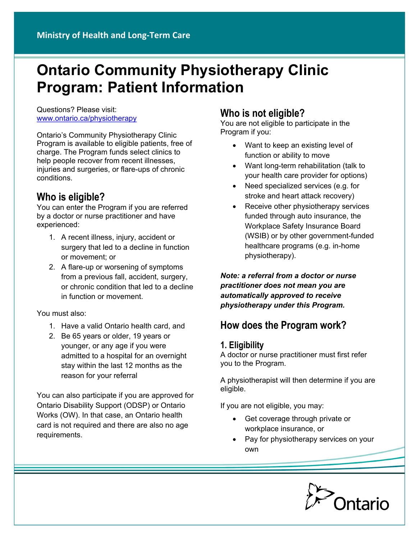# **Ontario Community Physiotherapy Clinic Program: Patient Information**

Questions? Please visit: [www.ontario.ca/physiotherapy](file:///C:\Users\AnjoKe2\AppData\Local\Microsoft\Windows\Temporary%20Internet%20Files\Content.Outlook\GV4Y3EIP\www.ontario.ca\physiotherapy)

Ontario's Community Physiotherapy Clinic Program is available to eligible patients, free of charge. The Program funds select clinics to help people recover from recent illnesses, injuries and surgeries, or flare-ups of chronic conditions.

## **Who is eligible?**

You can enter the Program if you are referred by a doctor or nurse practitioner and have experienced:

- 1. A recent illness, injury, accident or surgery that led to a decline in function or movement; or
- 2. A flare-up or worsening of symptoms from a previous fall, accident, surgery, or chronic condition that led to a decline in function or movement.

You must also:

- 1. Have a valid Ontario health card, and
- 2. Be 65 years or older, 19 years or younger, or any age if you were admitted to a hospital for an overnight stay within the last 12 months as the reason for your referral

You can also participate if you are approved for Ontario Disability Support (ODSP) or Ontario Works (OW). In that case, an Ontario health card is not required and there are also no age requirements.

## **Who is not eligible?**

You are not eligible to participate in the Program if you:

- Want to keep an existing level of function or ability to move
- Want long-term rehabilitation (talk to your health care provider for options)
- Need specialized services (e.g. for stroke and heart attack recovery)
- Receive other physiotherapy services funded through auto insurance, the Workplace Safety Insurance Board (WSIB) or by other government-funded healthcare programs (e.g. in-home physiotherapy).

*Note: a referral from a doctor or nurse practitioner does not mean you are automatically approved to receive physiotherapy under this Program.*

## **How does the Program work?**

#### **1. Eligibility**

A doctor or nurse practitioner must first refer you to the Program.

A physiotherapist will then determine if you are eligible.

If you are not eligible, you may:

- Get coverage through private or workplace insurance, or
- Pay for physiotherapy services on your own